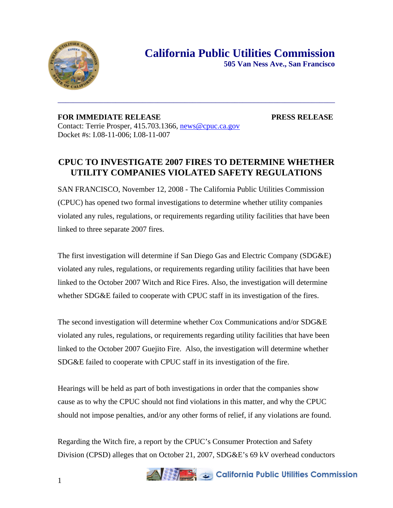

**FOR IMMEDIATE RELEASE PRESS RELEASE**  Contact: Terrie Prosper, 415.703.1366, news@cpuc.ca.gov Docket #s: I.08-11-006; I.08-11-007

## **CPUC TO INVESTIGATE 2007 FIRES TO DETERMINE WHETHER UTILITY COMPANIES VIOLATED SAFETY REGULATIONS**

\_\_\_\_\_\_\_\_\_\_\_\_\_\_\_\_\_\_\_\_\_\_\_\_\_\_\_\_\_\_\_\_\_\_\_\_\_\_\_\_\_\_\_\_\_\_\_\_\_\_\_\_\_\_\_\_\_\_\_\_\_\_\_\_\_\_\_\_\_\_\_\_

SAN FRANCISCO, November 12, 2008 - The California Public Utilities Commission (CPUC) has opened two formal investigations to determine whether utility companies violated any rules, regulations, or requirements regarding utility facilities that have been linked to three separate 2007 fires.

The first investigation will determine if San Diego Gas and Electric Company (SDG&E) violated any rules, regulations, or requirements regarding utility facilities that have been linked to the October 2007 Witch and Rice Fires. Also, the investigation will determine whether SDG&E failed to cooperate with CPUC staff in its investigation of the fires.

The second investigation will determine whether Cox Communications and/or SDG&E violated any rules, regulations, or requirements regarding utility facilities that have been linked to the October 2007 Guejito Fire. Also, the investigation will determine whether SDG&E failed to cooperate with CPUC staff in its investigation of the fire.

Hearings will be held as part of both investigations in order that the companies show cause as to why the CPUC should not find violations in this matter, and why the CPUC should not impose penalties, and/or any other forms of relief, if any violations are found.

Regarding the Witch fire, a report by the CPUC's Consumer Protection and Safety Division (CPSD) alleges that on October 21, 2007, SDG&E's 69 kV overhead conductors